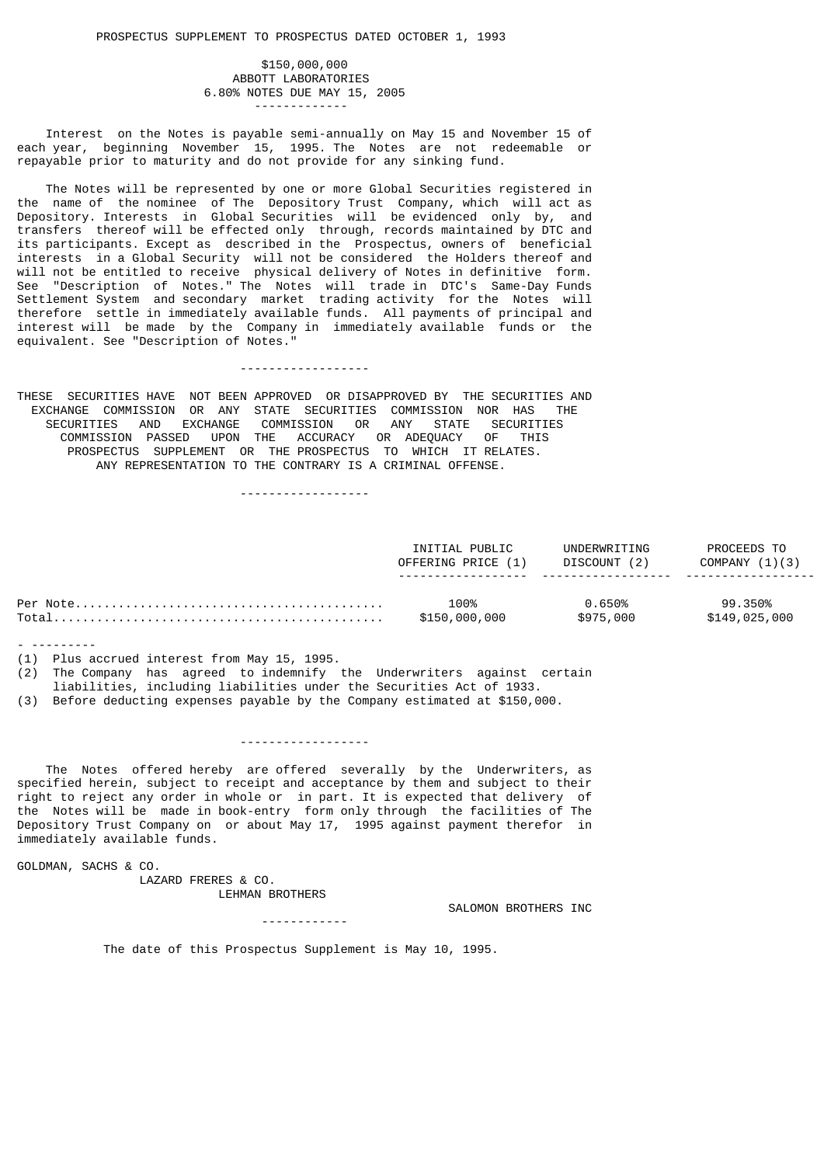## \$150,000,000 ABBOTT LABORATORIES 6.80% NOTES DUE MAY 15, 2005 -------------

 Interest on the Notes is payable semi-annually on May 15 and November 15 of each year, beginning November 15, 1995. The Notes are not redeemable or repayable prior to maturity and do not provide for any sinking fund.

 The Notes will be represented by one or more Global Securities registered in the name of the nominee of The Depository Trust Company, which will act as Depository. Interests in Global Securities will be evidenced only by, and transfers thereof will be effected only through, records maintained by DTC and its participants. Except as described in the Prospectus, owners of beneficial interests in a Global Security will not be considered the Holders thereof and will not be entitled to receive physical delivery of Notes in definitive form. See "Description of Notes." The Notes will trade in DTC's Same-Day Funds Settlement System and secondary market trading activity for the Notes will therefore settle in immediately available funds. All payments of principal and interest will be made by the Company in immediately available funds or the equivalent. See "Description of Notes."

THESE SECURITIES HAVE NOT BEEN APPROVED OR DISAPPROVED BY THE SECURITIES AND EXCHANGE COMMISSION OR ANY STATE SECURITIES COMMISSION NOR HAS THE SECURITIES AND EXCHANGE COMMISSION OR ANY STATE SECURITIES COMMISSION PASSED UPON THE ACCURACY OR ADEQUACY OF THIS PROSPECTUS SUPPLEMENT OR THE PROSPECTUS TO WHICH IT RELATES. ANY REPRESENTATION TO THE CONTRARY IS A CRIMINAL OFFENSE.

------------------

------------------

| INITIAL PUBLIC     | UNDERWRITING | PROCEEDS TO      |
|--------------------|--------------|------------------|
| OFFERING PRICE (1) | DISCOUNT (2) | COMPANY $(1)(3)$ |
| 100%               | 0.650%       | 99.350%          |
| \$150,000,000      | \$975,000    | \$149,025,000    |

- ---------

(1) Plus accrued interest from May 15, 1995.

 $(2)$  The Company has agreed to indemnify the Underwriters against certain liabilities, including liabilities under the Securities Act of 1933.

------------------

(3) Before deducting expenses payable by the Company estimated at \$150,000.

 The Notes offered hereby are offered severally by the Underwriters, as specified herein, subject to receipt and acceptance by them and subject to their right to reject any order in whole or in part. It is expected that delivery of the Notes will be made in book-entry form only through the facilities of The Depository Trust Company on or about May 17, 1995 against payment therefor in immediately available funds.

GOLDMAN, SACHS & CO.

 LAZARD FRERES & CO. LEHMAN BROTHERS

SALOMON BROTHERS INC

------------

The date of this Prospectus Supplement is May 10, 1995.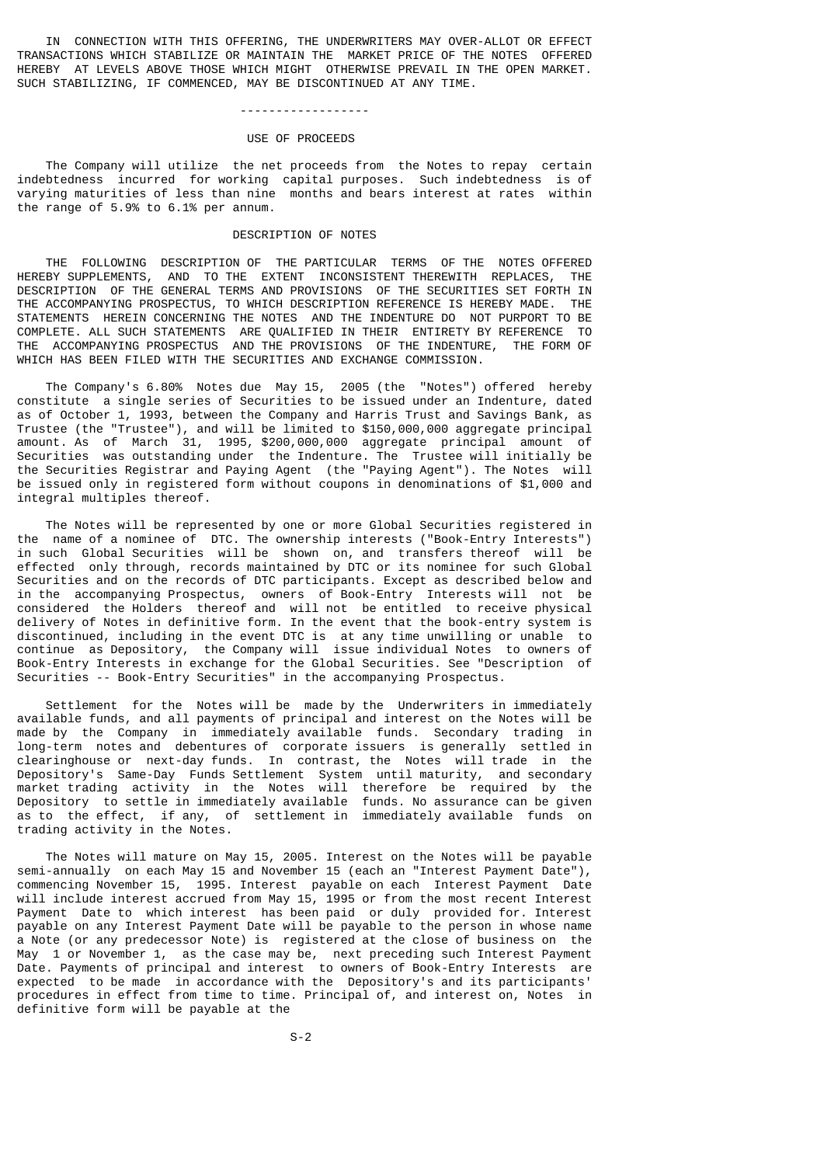IN CONNECTION WITH THIS OFFERING, THE UNDERWRITERS MAY OVER-ALLOT OR EFFECT TRANSACTIONS WHICH STABILIZE OR MAINTAIN THE MARKET PRICE OF THE NOTES OFFERED HEREBY AT LEVELS ABOVE THOSE WHICH MIGHT OTHERWISE PREVAIL IN THE OPEN MARKET. SUCH STABILIZING, IF COMMENCED, MAY BE DISCONTINUED AT ANY TIME.

# ------------------

# USE OF PROCEEDS

 The Company will utilize the net proceeds from the Notes to repay certain indebtedness incurred for working capital purposes. Such indebtedness is of varying maturities of less than nine months and bears interest at rates within the range of 5.9% to 6.1% per annum.

## DESCRIPTION OF NOTES

 THE FOLLOWING DESCRIPTION OF THE PARTICULAR TERMS OF THE NOTES OFFERED HEREBY SUPPLEMENTS, AND TO THE EXTENT INCONSISTENT THEREWITH REPLACES, THE DESCRIPTION OF THE GENERAL TERMS AND PROVISIONS OF THE SECURITIES SET FORTH IN THE ACCOMPANYING PROSPECTUS, TO WHICH DESCRIPTION REFERENCE IS HEREBY MADE. THE STATEMENTS HEREIN CONCERNING THE NOTES AND THE INDENTURE DO NOT PURPORT TO BE COMPLETE. ALL SUCH STATEMENTS ARE QUALIFIED IN THEIR ENTIRETY BY REFERENCE TO THE ACCOMPANYING PROSPECTUS AND THE PROVISIONS OF THE INDENTURE, THE FORM OF WHICH HAS BEEN FILED WITH THE SECURITIES AND EXCHANGE COMMISSION.

 The Company's 6.80% Notes due May 15, 2005 (the "Notes") offered hereby constitute a single series of Securities to be issued under an Indenture, dated as of October 1, 1993, between the Company and Harris Trust and Savings Bank, as Trustee (the "Trustee"), and will be limited to \$150,000,000 aggregate principal amount. As of March 31, 1995, \$200,000,000 aggregate principal amount of Securities was outstanding under the Indenture. The Trustee will initially be the Securities Registrar and Paying Agent (the "Paying Agent"). The Notes will be issued only in registered form without coupons in denominations of \$1,000 and integral multiples thereof.

 The Notes will be represented by one or more Global Securities registered in the name of a nominee of DTC. The ownership interests ("Book-Entry Interests") in such Global Securities will be shown on, and transfers thereof will be effected only through, records maintained by DTC or its nominee for such Global Securities and on the records of DTC participants. Except as described below and in the accompanying Prospectus, owners of Book-Entry Interests will not be considered the Holders thereof and will not be entitled to receive physical delivery of Notes in definitive form. In the event that the book-entry system is discontinued, including in the event DTC is at any time unwilling or unable to continue as Depository, the Company will issue individual Notes to owners of Book-Entry Interests in exchange for the Global Securities. See "Description of Securities -- Book-Entry Securities" in the accompanying Prospectus.

 Settlement for the Notes will be made by the Underwriters in immediately available funds, and all payments of principal and interest on the Notes will be made by the Company in immediately available funds. Secondary trading in long-term notes and debentures of corporate issuers is generally settled in clearinghouse or next-day funds. In contrast, the Notes will trade in the Depository's Same-Day Funds Settlement System until maturity, and secondary market trading activity in the Notes will therefore be required by the Depository to settle in immediately available funds. No assurance can be given as to the effect, if any, of settlement in immediately available funds on trading activity in the Notes.

 The Notes will mature on May 15, 2005. Interest on the Notes will be payable semi-annually on each May 15 and November 15 (each an "Interest Payment Date"), commencing November 15, 1995. Interest payable on each Interest Payment Date will include interest accrued from May 15, 1995 or from the most recent Interest Payment Date to which interest has been paid or duly provided for. Interest payable on any Interest Payment Date will be payable to the person in whose name a Note (or any predecessor Note) is registered at the close of business on the May 1 or November 1, as the case may be, next preceding such Interest Payment Date. Payments of principal and interest to owners of Book-Entry Interests are expected to be made in accordance with the Depository's and its participants' procedures in effect from time to time. Principal of, and interest on, Notes in definitive form will be payable at the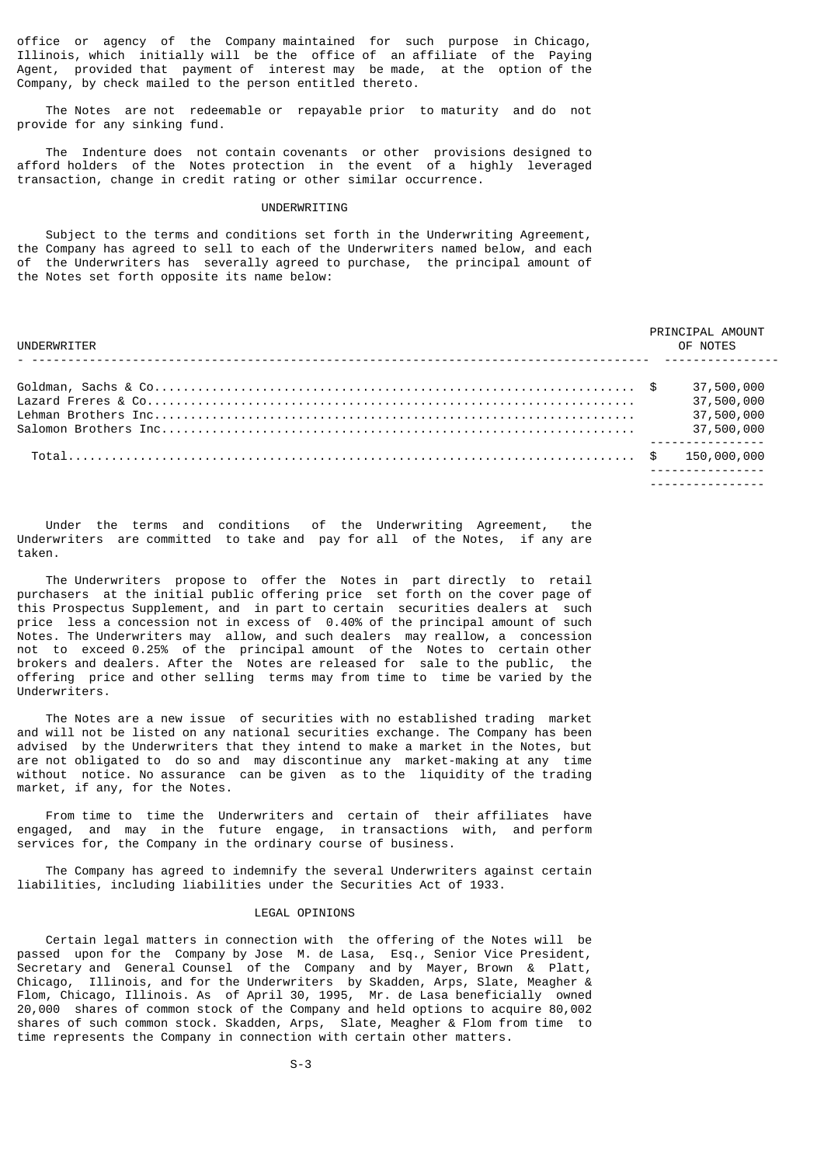office or agency of the Company maintained for such purpose in Chicago, Illinois, which initially will be the office of an affiliate of the Paying Agent, provided that payment of interest may be made, at the option of the Company, by check mailed to the person entitled thereto.

 The Notes are not redeemable or repayable prior to maturity and do not provide for any sinking fund.

 The Indenture does not contain covenants or other provisions designed to afford holders of the Notes protection in the event of a highly leveraged transaction, change in credit rating or other similar occurrence.

## UNDERWRITING

 Subject to the terms and conditions set forth in the Underwriting Agreement, the Company has agreed to sell to each of the Underwriters named below, and each of the Underwriters has severally agreed to purchase, the principal amount of the Notes set forth opposite its name below:

| UNDERWRITER | PRINCIPAL AMOUNT<br>OF NOTES                         |
|-------------|------------------------------------------------------|
|             | 37,500,000<br>37,500,000<br>37,500,000<br>37,500,000 |
|             | <u>.</u>                                             |

 Under the terms and conditions of the Underwriting Agreement, the Underwriters are committed to take and pay for all of the Notes, if any are taken.

 The Underwriters propose to offer the Notes in part directly to retail purchasers at the initial public offering price set forth on the cover page of this Prospectus Supplement, and in part to certain securities dealers at such price less a concession not in excess of 0.40% of the principal amount of such Notes. The Underwriters may allow, and such dealers may reallow, a concession not to exceed 0.25% of the principal amount of the Notes to certain other brokers and dealers. After the Notes are released for sale to the public, the offering price and other selling terms may from time to time be varied by the Underwriters.

 The Notes are a new issue of securities with no established trading market and will not be listed on any national securities exchange. The Company has been advised by the Underwriters that they intend to make a market in the Notes, but are not obligated to do so and may discontinue any market-making at any time without notice. No assurance can be given as to the liquidity of the trading market, if any, for the Notes.

 From time to time the Underwriters and certain of their affiliates have engaged, and may in the future engage, in transactions with, and perform services for, the Company in the ordinary course of business.

 The Company has agreed to indemnify the several Underwriters against certain liabilities, including liabilities under the Securities Act of 1933.

#### LEGAL OPINIONS

 Certain legal matters in connection with the offering of the Notes will be passed upon for the Company by Jose M. de Lasa, Esq., Senior Vice President, Secretary and General Counsel of the Company and by Mayer, Brown & Platt, Chicago, Illinois, and for the Underwriters by Skadden, Arps, Slate, Meagher & Flom, Chicago, Illinois. As of April 30, 1995, Mr. de Lasa beneficially owned 20,000 shares of common stock of the Company and held options to acquire 80,002 shares of such common stock. Skadden, Arps, Slate, Meagher & Flom from time to time represents the Company in connection with certain other matters.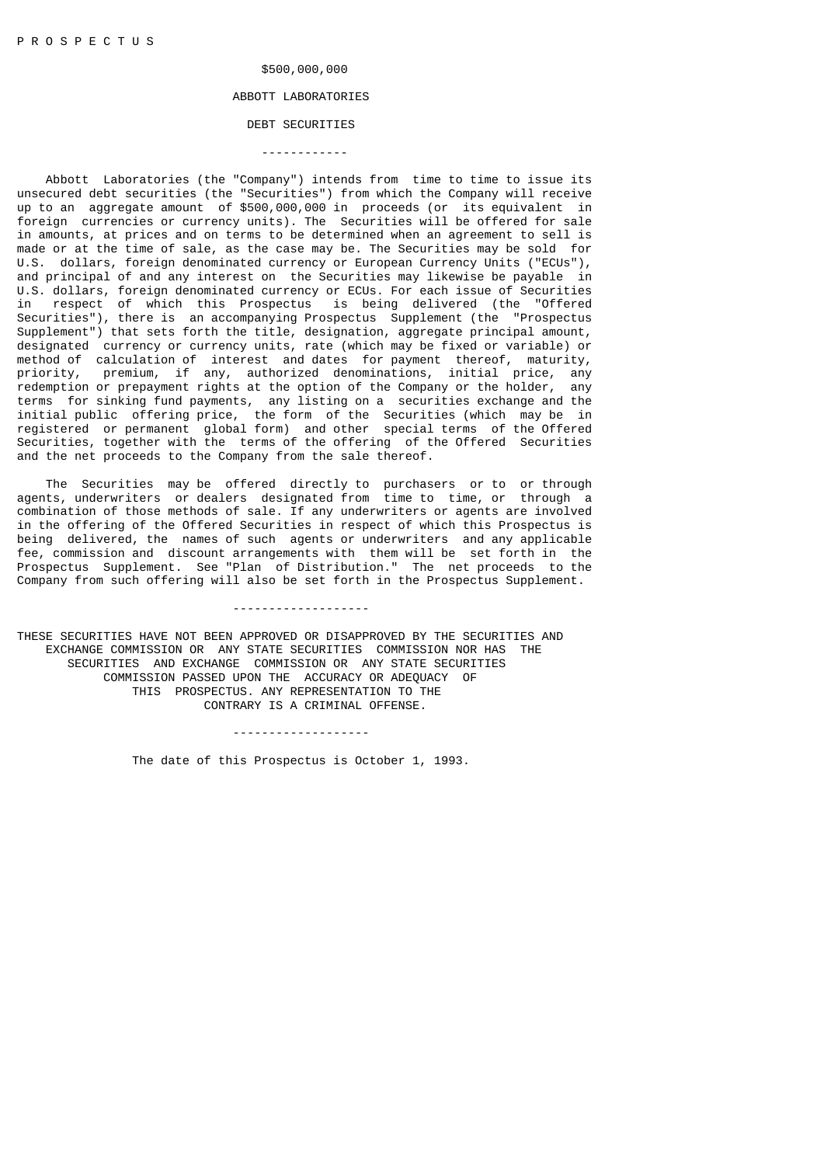# \$500,000,000

# ABBOTT LABORATORIES

# DEBT SECURITIES ------------

 Abbott Laboratories (the "Company") intends from time to time to issue its unsecured debt securities (the "Securities") from which the Company will receive up to an aggregate amount of \$500,000,000 in proceeds (or its equivalent in foreign currencies or currency units). The Securities will be offered for sale in amounts, at prices and on terms to be determined when an agreement to sell is made or at the time of sale, as the case may be. The Securities may be sold for U.S. dollars, foreign denominated currency or European Currency Units ("ECUs"), and principal of and any interest on the Securities may likewise be payable in U.S. dollars, foreign denominated currency or ECUs. For each issue of Securities in respect of which this Prospectus is being delivered (the "Offered Securities"), there is an accompanying Prospectus Supplement (the "Prospectus Supplement") that sets forth the title, designation, aggregate principal amount, designated currency or currency units, rate (which may be fixed or variable) or method of calculation of interest and dates for payment thereof, maturity, priority, premium, if any, authorized denominations, initial price, any redemption or prepayment rights at the option of the Company or the holder, any terms for sinking fund payments, any listing on a securities exchange and the initial public offering price, the form of the Securities (which may be in registered or permanent global form) and other special terms of the Offered Securities, together with the terms of the offering of the Offered Securities and the net proceeds to the Company from the sale thereof.

 The Securities may be offered directly to purchasers or to or through agents, underwriters or dealers designated from time to time, or through a combination of those methods of sale. If any underwriters or agents are involved in the offering of the Offered Securities in respect of which this Prospectus is being delivered, the names of such agents or underwriters and any applicable fee, commission and discount arrangements with them will be set forth in the Prospectus Supplement. See "Plan of Distribution." The net proceeds to the Company from such offering will also be set forth in the Prospectus Supplement.

-------------------

THESE SECURITIES HAVE NOT BEEN APPROVED OR DISAPPROVED BY THE SECURITIES AND EXCHANGE COMMISSION OR ANY STATE SECURITIES COMMISSION NOR HAS THE SECURITIES AND EXCHANGE COMMISSION OR ANY STATE SECURITIES COMMISSION PASSED UPON THE ACCURACY OR ADEQUACY OF THIS PROSPECTUS. ANY REPRESENTATION TO THE CONTRARY IS A CRIMINAL OFFENSE.

-------------------

The date of this Prospectus is October 1, 1993.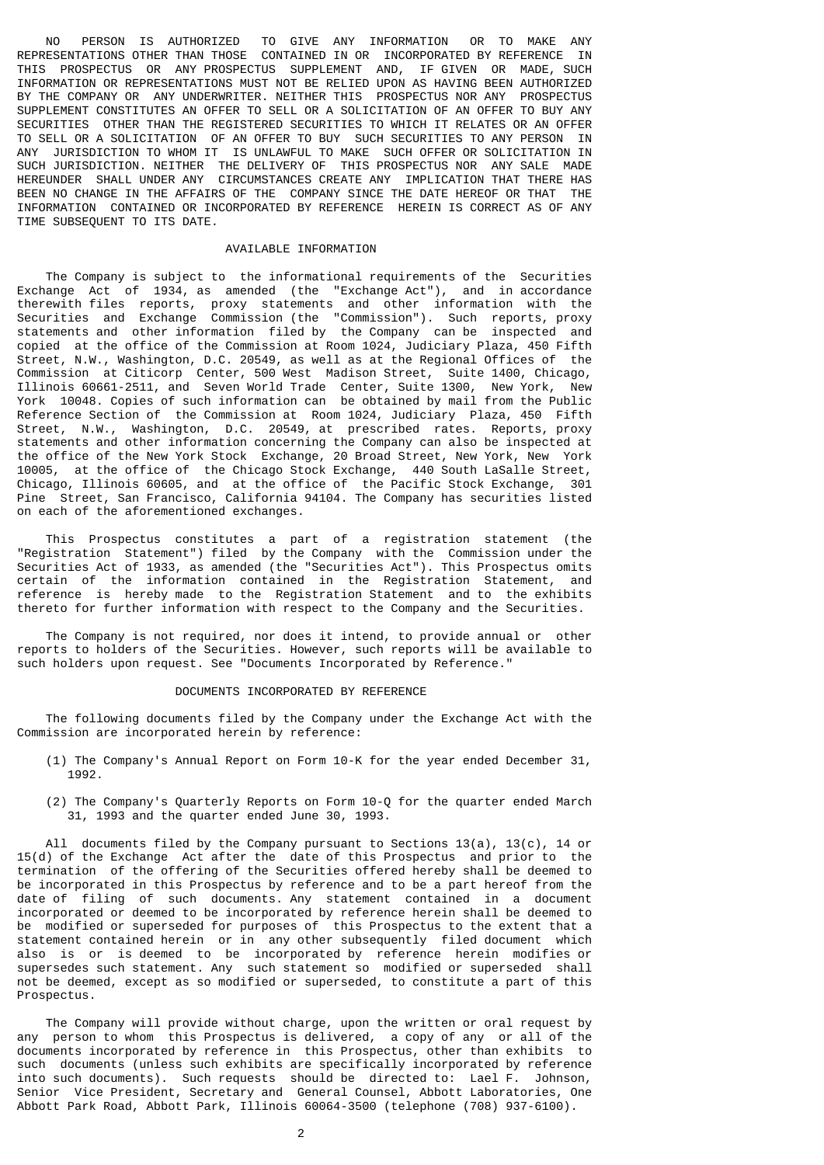NO PERSON IS AUTHORIZED TO GIVE ANY INFORMATION OR TO MAKE ANY REPRESENTATIONS OTHER THAN THOSE CONTAINED IN OR INCORPORATED BY REFERENCE IN THIS PROSPECTUS OR ANY PROSPECTUS SUPPLEMENT AND, IF GIVEN OR MADE, SUCH INFORMATION OR REPRESENTATIONS MUST NOT BE RELIED UPON AS HAVING BEEN AUTHORIZED BY THE COMPANY OR ANY UNDERWRITER. NEITHER THIS PROSPECTUS NOR ANY PROSPECTUS SUPPLEMENT CONSTITUTES AN OFFER TO SELL OR A SOLICITATION OF AN OFFER TO BUY ANY SECURITIES OTHER THAN THE REGISTERED SECURITIES TO WHICH IT RELATES OR AN OFFER TO SELL OR A SOLICITATION OF AN OFFER TO BUY SUCH SECURITIES TO ANY PERSON IN ANY JURISDICTION TO WHOM IT IS UNLAWFUL TO MAKE SUCH OFFER OR SOLICITATION IN SUCH JURISDICTION. NEITHER THE DELIVERY OF THIS PROSPECTUS NOR ANY SALE MADE HEREUNDER SHALL UNDER ANY CIRCUMSTANCES CREATE ANY IMPLICATION THAT THERE HAS BEEN NO CHANGE IN THE AFFAIRS OF THE COMPANY SINCE THE DATE HEREOF OR THAT THE INFORMATION CONTAINED OR INCORPORATED BY REFERENCE HEREIN IS CORRECT AS OF ANY TIME SUBSEQUENT TO ITS DATE.

# AVAILABLE INFORMATION

 The Company is subject to the informational requirements of the Securities Exchange Act of 1934, as amended (the "Exchange Act"), and in accordance therewith files reports, proxy statements and other information with the Securities and Exchange Commission (the "Commission"). Such reports, proxy statements and other information filed by the Company can be inspected and copied at the office of the Commission at Room 1024, Judiciary Plaza, 450 Fifth Street, N.W., Washington, D.C. 20549, as well as at the Regional Offices of the Commission at Citicorp Center, 500 West Madison Street, Suite 1400, Chicago, Illinois 60661-2511, and Seven World Trade Center, Suite 1300, New York, New York 10048. Copies of such information can be obtained by mail from the Public Reference Section of the Commission at Room 1024, Judiciary Plaza, 450 Fifth Street, N.W., Washington, D.C. 20549, at prescribed rates. Reports, proxy statements and other information concerning the Company can also be inspected at the office of the New York Stock Exchange, 20 Broad Street, New York, New York 10005, at the office of the Chicago Stock Exchange, 440 South LaSalle Street, Chicago, Illinois 60605, and at the office of the Pacific Stock Exchange, 301 Pine Street, San Francisco, California 94104. The Company has securities listed on each of the aforementioned exchanges.

 This Prospectus constitutes a part of a registration statement (the "Registration Statement") filed by the Company with the Commission under the Securities Act of 1933, as amended (the "Securities Act"). This Prospectus omits certain of the information contained in the Registration Statement, and reference is hereby made to the Registration Statement and to the exhibits thereto for further information with respect to the Company and the Securities.

 The Company is not required, nor does it intend, to provide annual or other reports to holders of the Securities. However, such reports will be available to such holders upon request. See "Documents Incorporated by Reference."

## DOCUMENTS INCORPORATED BY REFERENCE

 The following documents filed by the Company under the Exchange Act with the Commission are incorporated herein by reference:

- (1) The Company's Annual Report on Form 10-K for the year ended December 31, 1992.
- (2) The Company's Quarterly Reports on Form 10-Q for the quarter ended March 31, 1993 and the quarter ended June 30, 1993.

All documents filed by the Company pursuant to Sections  $13(a)$ ,  $13(c)$ ,  $14$  or 15(d) of the Exchange Act after the date of this Prospectus and prior to the termination of the offering of the Securities offered hereby shall be deemed to be incorporated in this Prospectus by reference and to be a part hereof from the date of filing of such documents. Any statement contained in a document incorporated or deemed to be incorporated by reference herein shall be deemed to be modified or superseded for purposes of this Prospectus to the extent that a statement contained herein or in any other subsequently filed document which also is or is deemed to be incorporated by reference herein modifies or supersedes such statement. Any such statement so modified or superseded shall not be deemed, except as so modified or superseded, to constitute a part of this Prospectus.

 The Company will provide without charge, upon the written or oral request by any person to whom this Prospectus is delivered, a copy of any or all of the documents incorporated by reference in this Prospectus, other than exhibits to such documents (unless such exhibits are specifically incorporated by reference into such documents). Such requests should be directed to: Lael F. Johnson, Senior Vice President, Secretary and General Counsel, Abbott Laboratories, One Abbott Park Road, Abbott Park, Illinois 60064-3500 (telephone (708) 937-6100).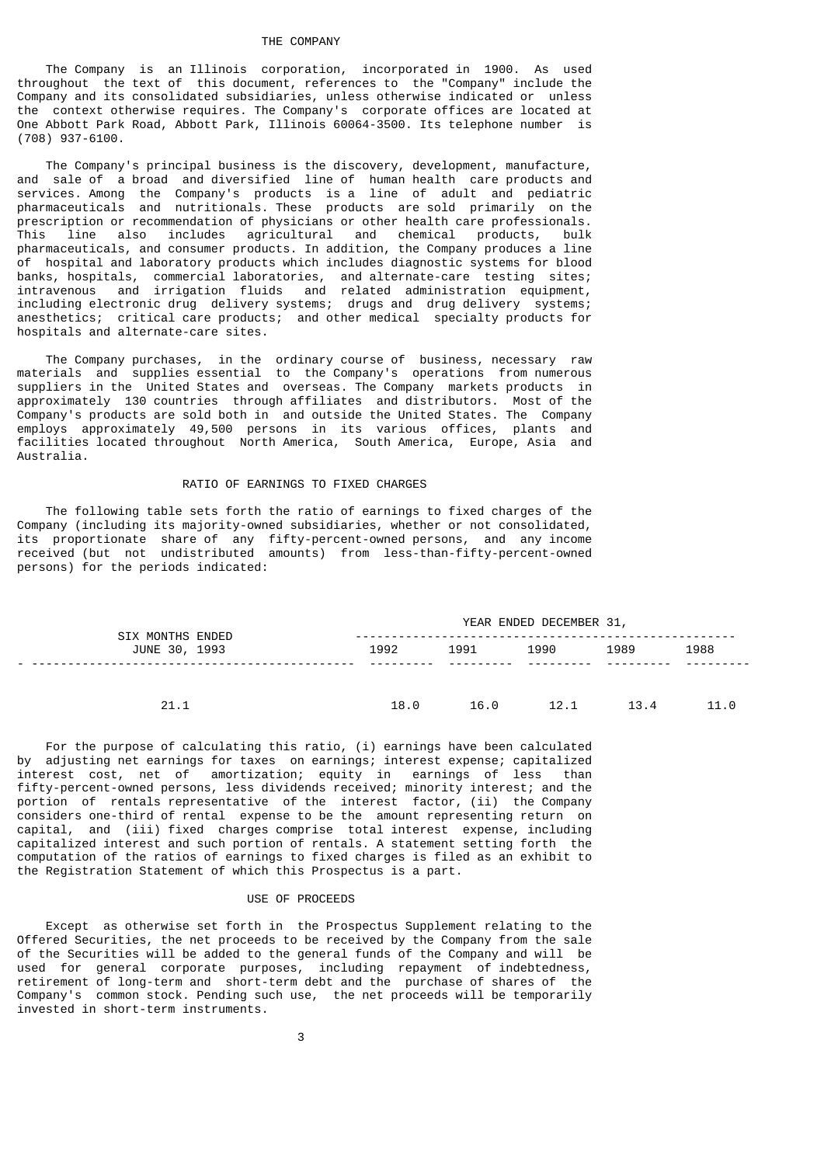## THE COMPANY

 The Company is an Illinois corporation, incorporated in 1900. As used throughout the text of this document, references to the "Company" include the Company and its consolidated subsidiaries, unless otherwise indicated or unless the context otherwise requires. The Company's corporate offices are located at One Abbott Park Road, Abbott Park, Illinois 60064-3500. Its telephone number is (708) 937-6100.

 The Company's principal business is the discovery, development, manufacture, and sale of a broad and diversified line of human health care products and services. Among the Company's products is a line of adult and pediatric pharmaceuticals and nutritionals. These products are sold primarily on the prescription or recommendation of physicians or other health care professionals. This line also includes agricultural and chemical products, bulk pharmaceuticals, and consumer products. In addition, the Company produces a line of hospital and laboratory products which includes diagnostic systems for blood banks, hospitals, commercial laboratories, and alternate-care testing sites; intravenous and irrigation fluids and related administration equipment, including electronic drug delivery systems; drugs and drug delivery systems; anesthetics; critical care products; and other medical specialty products for hospitals and alternate-care sites.

 The Company purchases, in the ordinary course of business, necessary raw materials and supplies essential to the Company's operations from numerous suppliers in the United States and overseas. The Company markets products in approximately 130 countries through affiliates and distributors. Most of the Company's products are sold both in and outside the United States. The Company employs approximately 49,500 persons in its various offices, plants and facilities located throughout North America, South America, Europe, Asia and Australia.

# RATIO OF EARNINGS TO FIXED CHARGES

 The following table sets forth the ratio of earnings to fixed charges of the Company (including its majority-owned subsidiaries, whether or not consolidated, its proportionate share of any fifty-percent-owned persons, and any income received (but not undistributed amounts) from less-than-fifty-percent-owned persons) for the periods indicated:

| <b>SIX MONTHS ENDED</b> |      |      | YEAR ENDED DECEMBER 31, |      |      |  |  |  |  |
|-------------------------|------|------|-------------------------|------|------|--|--|--|--|
| JUNE 30, 1993           | 1992 | 1991 | 1990                    | 1989 | 1988 |  |  |  |  |
|                         |      |      |                         |      |      |  |  |  |  |
| 21.1                    | 18.0 | 16.0 | 12.1                    | 13.4 | 11.0 |  |  |  |  |

 For the purpose of calculating this ratio, (i) earnings have been calculated by adjusting net earnings for taxes on earnings; interest expense; capitalized interest cost, net of amortization; equity in earnings of less than fifty-percent-owned persons, less dividends received; minority interest; and the portion of rentals representative of the interest factor, (ii) the Company considers one-third of rental expense to be the amount representing return on capital, and (iii) fixed charges comprise total interest expense, including capitalized interest and such portion of rentals. A statement setting forth the computation of the ratios of earnings to fixed charges is filed as an exhibit to the Registration Statement of which this Prospectus is a part.

## USE OF PROCEEDS

 Except as otherwise set forth in the Prospectus Supplement relating to the Offered Securities, the net proceeds to be received by the Company from the sale of the Securities will be added to the general funds of the Company and will be used for general corporate purposes, including repayment of indebtedness, retirement of long-term and short-term debt and the purchase of shares of the Company's common stock. Pending such use, the net proceeds will be temporarily invested in short-term instruments.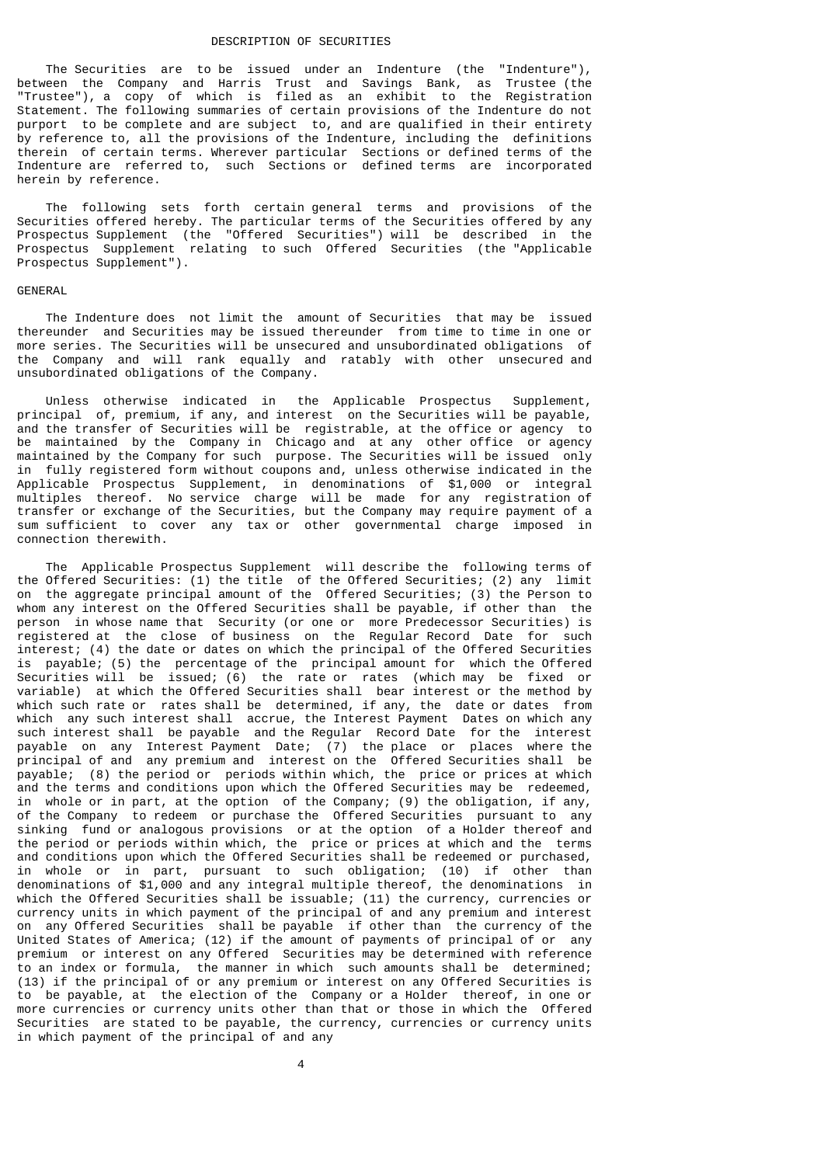#### DESCRIPTION OF SECURITIES

 The Securities are to be issued under an Indenture (the "Indenture"), between the Company and Harris Trust and Savings Bank, as Trustee (the "Trustee"), a copy of which is filed as an exhibit to the Registration Statement. The following summaries of certain provisions of the Indenture do not purport to be complete and are subject to, and are qualified in their entirety by reference to, all the provisions of the Indenture, including the definitions therein of certain terms. Wherever particular Sections or defined terms of the Indenture are referred to, such Sections or defined terms are incorporated herein by reference.

 The following sets forth certain general terms and provisions of the Securities offered hereby. The particular terms of the Securities offered by any Prospectus Supplement (the "Offered Securities") will be described in the Prospectus Supplement relating to such Offered Securities (the "Applicable Prospectus Supplement").

#### GENERAL

 The Indenture does not limit the amount of Securities that may be issued thereunder and Securities may be issued thereunder from time to time in one or more series. The Securities will be unsecured and unsubordinated obligations of the Company and will rank equally and ratably with other unsecured and unsubordinated obligations of the Company.

 Unless otherwise indicated in the Applicable Prospectus Supplement, principal of, premium, if any, and interest on the Securities will be payable, and the transfer of Securities will be registrable, at the office or agency to be maintained by the Company in Chicago and at any other office or agency maintained by the Company for such purpose. The Securities will be issued only in fully registered form without coupons and, unless otherwise indicated in the Applicable Prospectus Supplement, in denominations of \$1,000 or integral multiples thereof. No service charge will be made for any registration of transfer or exchange of the Securities, but the Company may require payment of a sum sufficient to cover any tax or other governmental charge imposed in connection therewith.

 The Applicable Prospectus Supplement will describe the following terms of the Offered Securities: (1) the title of the Offered Securities; (2) any limit on the aggregate principal amount of the Offered Securities; (3) the Person to whom any interest on the Offered Securities shall be payable, if other than the person in whose name that Security (or one or more Predecessor Securities) is registered at the close of business on the Regular Record Date for such interest; (4) the date or dates on which the principal of the Offered Securities is payable; (5) the percentage of the principal amount for which the Offered Securities will be issued; (6) the rate or rates (which may be fixed or variable) at which the Offered Securities shall bear interest or the method by which such rate or rates shall be determined, if any, the date or dates from which any such interest shall accrue, the Interest Payment Dates on which any such interest shall be payable and the Regular Record Date for the interest payable on any Interest Payment Date; (7) the place or places where the principal of and any premium and interest on the Offered Securities shall be payable; (8) the period or periods within which, the price or prices at which and the terms and conditions upon which the Offered Securities may be redeemed, in whole or in part, at the option of the Company; (9) the obligation, if any, of the Company to redeem or purchase the Offered Securities pursuant to any sinking fund or analogous provisions or at the option of a Holder thereof and the period or periods within which, the price or prices at which and the terms and conditions upon which the Offered Securities shall be redeemed or purchased, in whole or in part, pursuant to such obligation; (10) if other than denominations of \$1,000 and any integral multiple thereof, the denominations in which the Offered Securities shall be issuable; (11) the currency, currencies or currency units in which payment of the principal of and any premium and interest on any Offered Securities shall be payable if other than the currency of the United States of America; (12) if the amount of payments of principal of or any premium or interest on any Offered Securities may be determined with reference to an index or formula, the manner in which such amounts shall be determined; (13) if the principal of or any premium or interest on any Offered Securities is to be payable, at the election of the Company or a Holder thereof, in one or more currencies or currency units other than that or those in which the Offered Securities are stated to be payable, the currency, currencies or currency units in which payment of the principal of and any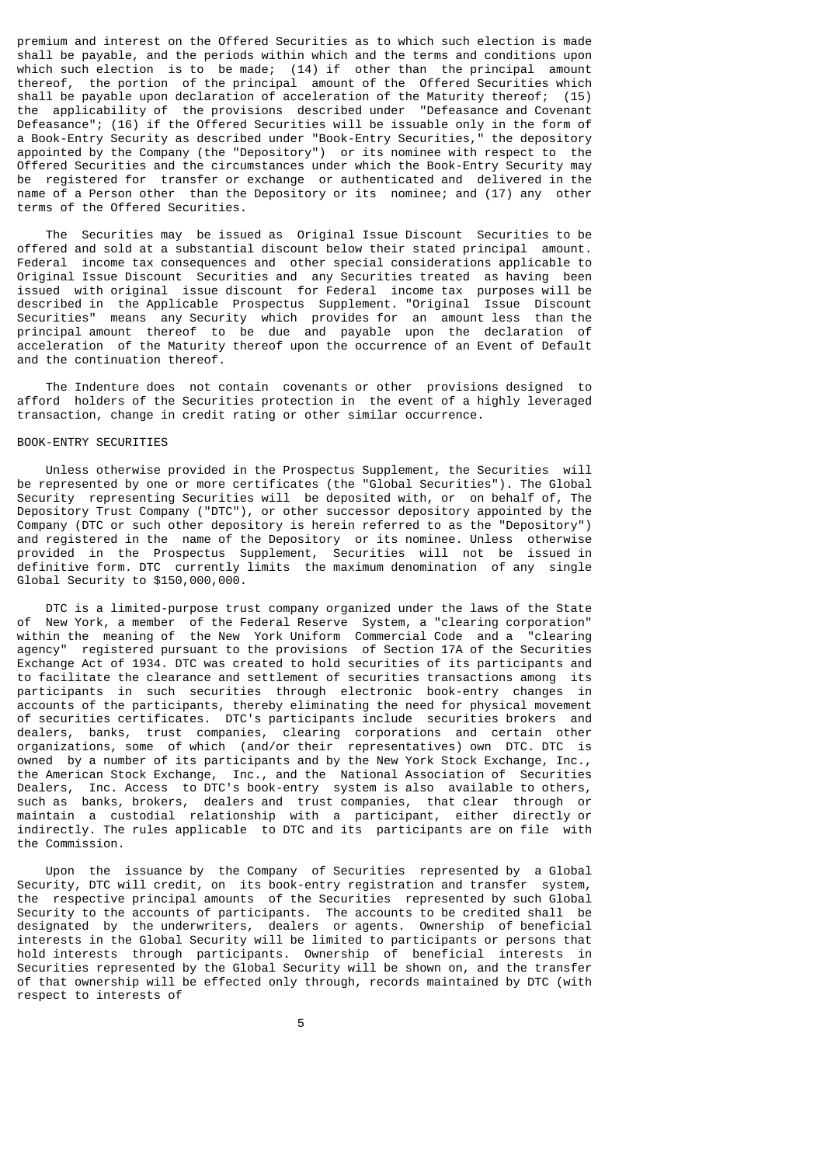premium and interest on the Offered Securities as to which such election is made shall be payable, and the periods within which and the terms and conditions upon which such election is to be made; (14) if other than the principal amount thereof, the portion of the principal amount of the Offered Securities which shall be payable upon declaration of acceleration of the Maturity thereof; (15) the applicability of the provisions described under "Defeasance and Covenant Defeasance"; (16) if the Offered Securities will be issuable only in the form of a Book-Entry Security as described under "Book-Entry Securities," the depository appointed by the Company (the "Depository") or its nominee with respect to the Offered Securities and the circumstances under which the Book-Entry Security may be registered for transfer or exchange or authenticated and delivered in the name of a Person other than the Depository or its nominee; and (17) any other terms of the Offered Securities.

 The Securities may be issued as Original Issue Discount Securities to be offered and sold at a substantial discount below their stated principal amount. Federal income tax consequences and other special considerations applicable to Original Issue Discount Securities and any Securities treated as having been issued with original issue discount for Federal income tax purposes will be described in the Applicable Prospectus Supplement. "Original Issue Discount Securities" means any Security which provides for an amount less than the principal amount thereof to be due and payable upon the declaration of acceleration of the Maturity thereof upon the occurrence of an Event of Default and the continuation thereof.

 The Indenture does not contain covenants or other provisions designed to afford holders of the Securities protection in the event of a highly leveraged transaction, change in credit rating or other similar occurrence.

#### BOOK-ENTRY SECURITIES

 Unless otherwise provided in the Prospectus Supplement, the Securities will be represented by one or more certificates (the "Global Securities"). The Global Security representing Securities will be deposited with, or on behalf of, The Depository Trust Company ("DTC"), or other successor depository appointed by the Company (DTC or such other depository is herein referred to as the "Depository") and registered in the name of the Depository or its nominee. Unless otherwise provided in the Prospectus Supplement, Securities will not be issued in definitive form. DTC currently limits the maximum denomination of any single Global Security to \$150,000,000.

 DTC is a limited-purpose trust company organized under the laws of the State of New York, a member of the Federal Reserve System, a "clearing corporation" within the meaning of the New York Uniform Commercial Code and a "clearing agency" registered pursuant to the provisions of Section 17A of the Securities Exchange Act of 1934. DTC was created to hold securities of its participants and to facilitate the clearance and settlement of securities transactions among its participants in such securities through electronic book-entry changes in accounts of the participants, thereby eliminating the need for physical movement of securities certificates. DTC's participants include securities brokers and dealers, banks, trust companies, clearing corporations and certain other organizations, some of which (and/or their representatives) own DTC. DTC is owned by a number of its participants and by the New York Stock Exchange, Inc., the American Stock Exchange, Inc., and the National Association of Securities Dealers, Inc. Access to DTC's book-entry system is also available to others, such as banks, brokers, dealers and trust companies, that clear through or maintain a custodial relationship with a participant, either directly or indirectly. The rules applicable to DTC and its participants are on file with the Commission.

 Upon the issuance by the Company of Securities represented by a Global Security, DTC will credit, on its book-entry registration and transfer system, the respective principal amounts of the Securities represented by such Global Security to the accounts of participants. The accounts to be credited shall be designated by the underwriters, dealers or agents. Ownership of beneficial interests in the Global Security will be limited to participants or persons that hold interests through participants. Ownership of beneficial interests in Securities represented by the Global Security will be shown on, and the transfer of that ownership will be effected only through, records maintained by DTC (with respect to interests of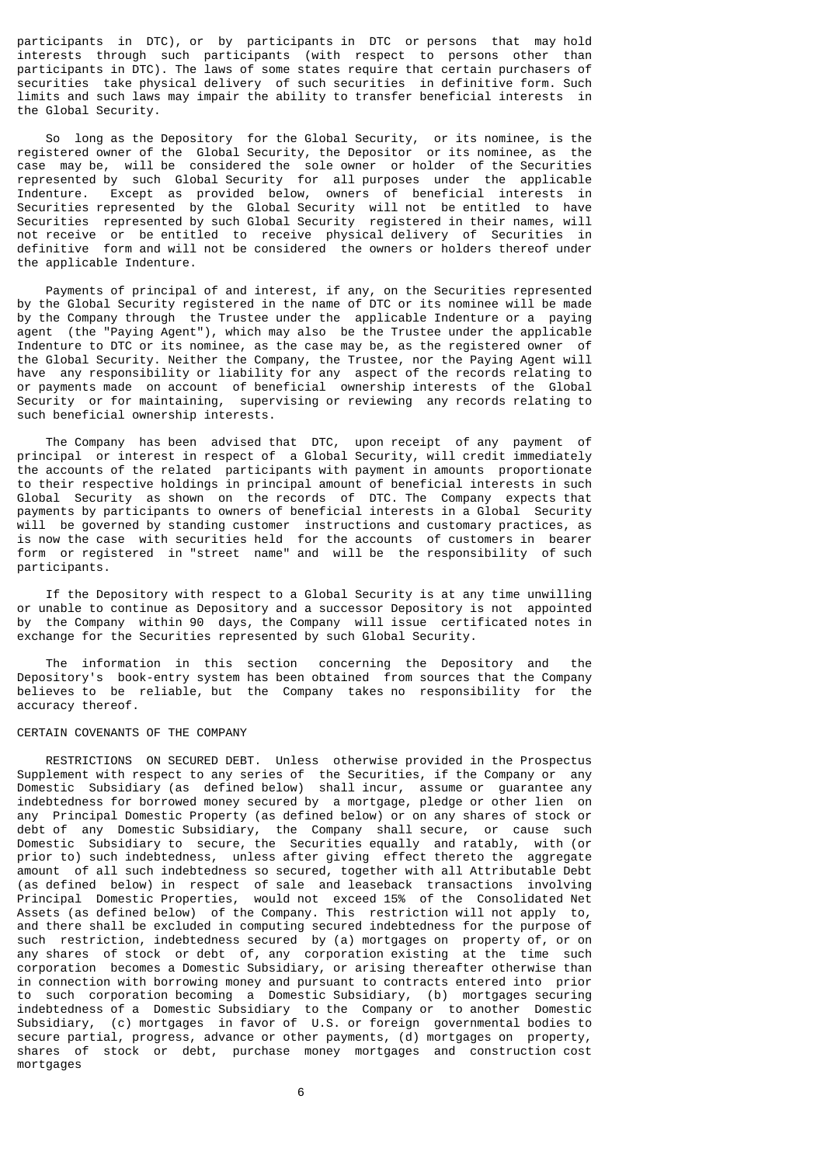participants in DTC), or by participants in DTC or persons that may hold interests through such participants (with respect to persons other than participants in DTC). The laws of some states require that certain purchasers of securities take physical delivery of such securities in definitive form. Such limits and such laws may impair the ability to transfer beneficial interests in the Global Security.

 So long as the Depository for the Global Security, or its nominee, is the registered owner of the Global Security, the Depositor or its nominee, as the case may be, will be considered the sole owner or holder of the Securities represented by such Global Security for all purposes under the applicable Indenture. Except as provided below, owners of beneficial interests in Securities represented by the Global Security will not be entitled to have Securities represented by such Global Security registered in their names, will not receive or be entitled to receive physical delivery of Securities in definitive form and will not be considered the owners or holders thereof under the applicable Indenture.

 Payments of principal of and interest, if any, on the Securities represented by the Global Security registered in the name of DTC or its nominee will be made by the Company through the Trustee under the applicable Indenture or a paying agent (the "Paying Agent"), which may also be the Trustee under the applicable Indenture to DTC or its nominee, as the case may be, as the registered owner of the Global Security. Neither the Company, the Trustee, nor the Paying Agent will have any responsibility or liability for any aspect of the records relating to or payments made on account of beneficial ownership interests of the Global Security or for maintaining, supervising or reviewing any records relating to such beneficial ownership interests.

 The Company has been advised that DTC, upon receipt of any payment of principal or interest in respect of a Global Security, will credit immediately the accounts of the related participants with payment in amounts proportionate to their respective holdings in principal amount of beneficial interests in such Global Security as shown on the records of DTC. The Company expects that payments by participants to owners of beneficial interests in a Global Security will be governed by standing customer instructions and customary practices, as is now the case with securities held for the accounts of customers in bearer form or registered in "street name" and will be the responsibility of such participants.

 If the Depository with respect to a Global Security is at any time unwilling or unable to continue as Depository and a successor Depository is not appointed by the Company within 90 days, the Company will issue certificated notes in exchange for the Securities represented by such Global Security.

 The information in this section concerning the Depository and the Depository's book-entry system has been obtained from sources that the Company<br>believes to be reliable, but the Company takes no responsibility for the believes to be reliable, but the Company takes no responsibility for accuracy thereof.

# CERTAIN COVENANTS OF THE COMPANY

 RESTRICTIONS ON SECURED DEBT. Unless otherwise provided in the Prospectus Supplement with respect to any series of the Securities, if the Company or any Domestic Subsidiary (as defined below) shall incur, assume or guarantee any indebtedness for borrowed money secured by a mortgage, pledge or other lien on any Principal Domestic Property (as defined below) or on any shares of stock or debt of any Domestic Subsidiary, the Company shall secure, or cause such Domestic Subsidiary to secure, the Securities equally and ratably, with (or prior to) such indebtedness, unless after giving effect thereto the aggregate amount of all such indebtedness so secured, together with all Attributable Debt (as defined below) in respect of sale and leaseback transactions involving Principal Domestic Properties, would not exceed 15% of the Consolidated Net Assets (as defined below) of the Company. This restriction will not apply to, and there shall be excluded in computing secured indebtedness for the purpose of such restriction, indebtedness secured by (a) mortgages on property of, or on any shares of stock or debt of, any corporation existing at the time such corporation becomes a Domestic Subsidiary, or arising thereafter otherwise than in connection with borrowing money and pursuant to contracts entered into prior to such corporation becoming a Domestic Subsidiary, (b) mortgages securing indebtedness of a Domestic Subsidiary to the Company or to another Domestic Subsidiary, (c) mortgages in favor of U.S. or foreign governmental bodies to secure partial, progress, advance or other payments, (d) mortgages on property, shares of stock or debt, purchase money mortgages and construction cost mortgages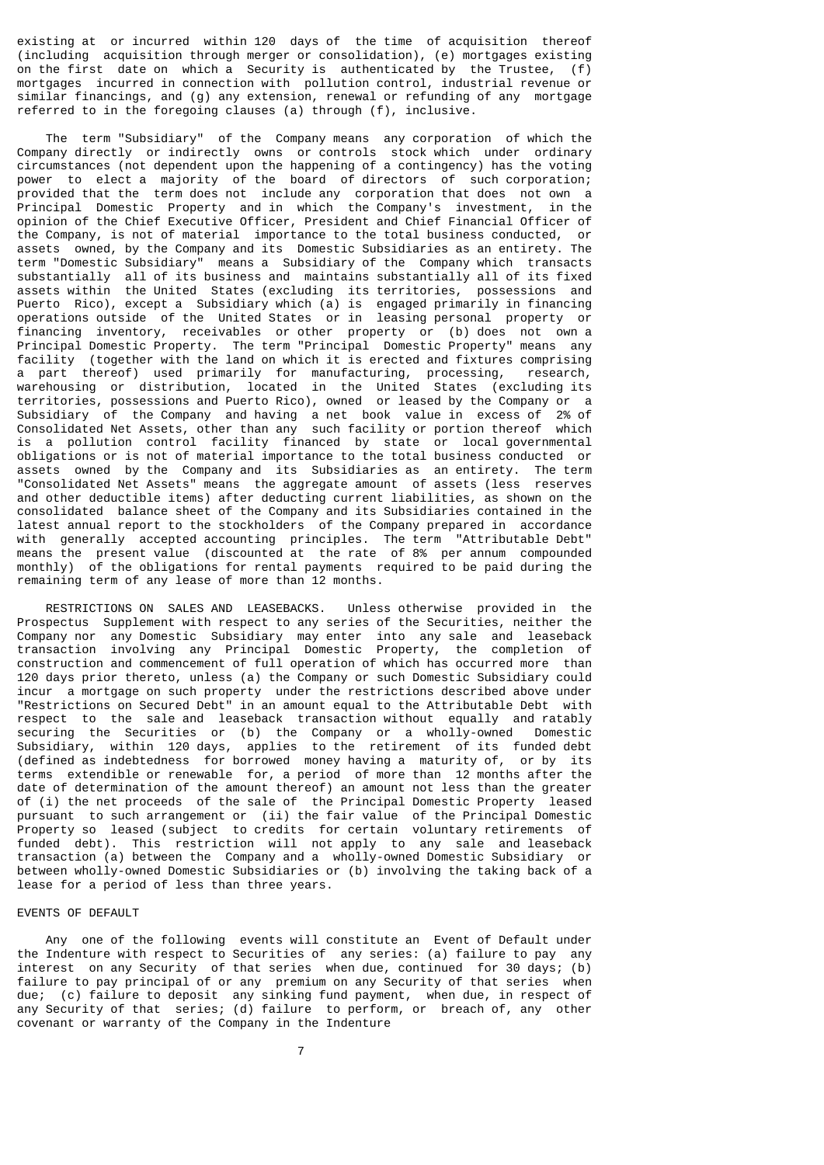existing at or incurred within 120 days of the time of acquisition thereof (including acquisition through merger or consolidation), (e) mortgages existing on the first date on which a Security is authenticated by the Trustee, (f) mortgages incurred in connection with pollution control, industrial revenue or similar financings, and (g) any extension, renewal or refunding of any mortgage referred to in the foregoing clauses (a) through (f), inclusive.

 The term "Subsidiary" of the Company means any corporation of which the Company directly or indirectly owns or controls stock which under ordinary circumstances (not dependent upon the happening of a contingency) has the voting power to elect a majority of the board of directors of such corporation; provided that the term does not include any corporation that does not own a Principal Domestic Property and in which the Company's investment, in the opinion of the Chief Executive Officer, President and Chief Financial Officer of the Company, is not of material importance to the total business conducted, or assets owned, by the Company and its Domestic Subsidiaries as an entirety. The term "Domestic Subsidiary" means a Subsidiary of the Company which transacts substantially all of its business and maintains substantially all of its fixed assets within the United States (excluding its territories, possessions and Puerto Rico), except a Subsidiary which (a) is engaged primarily in financing operations outside of the United States or in leasing personal property or financing inventory, receivables or other property or (b) does not own a Principal Domestic Property. The term "Principal Domestic Property" means any facility (together with the land on which it is erected and fixtures comprising a part thereof) used primarily for manufacturing, processing, research, warehousing or distribution, located in the United States (excluding its territories, possessions and Puerto Rico), owned or leased by the Company or a Subsidiary of the Company and having a net book value in excess of 2% of Consolidated Net Assets, other than any such facility or portion thereof which is a pollution control facility financed by state or local governmental obligations or is not of material importance to the total business conducted or assets owned by the Company and its Subsidiaries as an entirety. The term "Consolidated Net Assets" means the aggregate amount of assets (less reserves and other deductible items) after deducting current liabilities, as shown on the consolidated balance sheet of the Company and its Subsidiaries contained in the latest annual report to the stockholders of the Company prepared in accordance with generally accepted accounting principles. The term "Attributable Debt" means the present value (discounted at the rate of 8% per annum compounded monthly) of the obligations for rental payments required to be paid during the remaining term of any lease of more than 12 months.

 RESTRICTIONS ON SALES AND LEASEBACKS. Unless otherwise provided in the Prospectus Supplement with respect to any series of the Securities, neither the Company nor any Domestic Subsidiary may enter into any sale and leaseback transaction involving any Principal Domestic Property, the completion of construction and commencement of full operation of which has occurred more than 120 days prior thereto, unless (a) the Company or such Domestic Subsidiary could incur a mortgage on such property under the restrictions described above under "Restrictions on Secured Debt" in an amount equal to the Attributable Debt with respect to the sale and leaseback transaction without equally and ratably securing the Securities or (b) the Company or a wholly-owned Domestic Subsidiary, within 120 days, applies to the retirement of its funded debt (defined as indebtedness for borrowed money having a maturity of, or by its terms extendible or renewable for, a period of more than 12 months after the date of determination of the amount thereof) an amount not less than the greater of (i) the net proceeds of the sale of the Principal Domestic Property leased pursuant to such arrangement or (ii) the fair value of the Principal Domestic Property so leased (subject to credits for certain voluntary retirements of funded debt). This restriction will not apply to any sale and leaseback transaction (a) between the Company and a wholly-owned Domestic Subsidiary or between wholly-owned Domestic Subsidiaries or (b) involving the taking back of a lease for a period of less than three years.

#### EVENTS OF DEFAULT

 Any one of the following events will constitute an Event of Default under the Indenture with respect to Securities of any series: (a) failure to pay any interest on any Security of that series when due, continued for 30 days; (b) failure to pay principal of or any premium on any Security of that series when due; (c) failure to deposit any sinking fund payment, when due, in respect of any Security of that series; (d) failure to perform, or breach of, any other covenant or warranty of the Company in the Indenture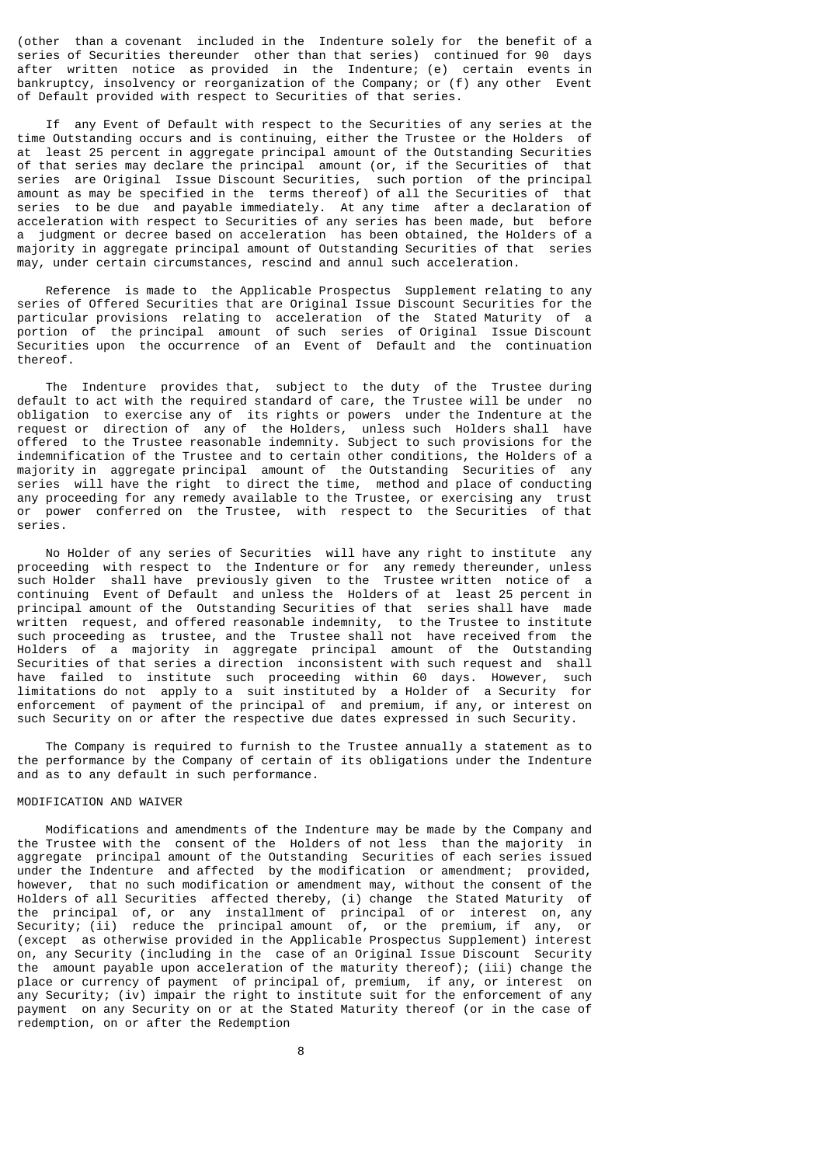(other than a covenant included in the Indenture solely for the benefit of a series of Securities thereunder other than that series) continued for 90 days after written notice as provided in the Indenture; (e) certain events in bankruptcy, insolvency or reorganization of the Company; or (f) any other Event of Default provided with respect to Securities of that series.

 If any Event of Default with respect to the Securities of any series at the time Outstanding occurs and is continuing, either the Trustee or the Holders of at least 25 percent in aggregate principal amount of the Outstanding Securities of that series may declare the principal amount (or, if the Securities of that series are Original Issue Discount Securities, such portion of the principal amount as may be specified in the terms thereof) of all the Securities of that series to be due and payable immediately. At any time after a declaration of acceleration with respect to Securities of any series has been made, but before a judgment or decree based on acceleration has been obtained, the Holders of a majority in aggregate principal amount of Outstanding Securities of that series may, under certain circumstances, rescind and annul such acceleration.

 Reference is made to the Applicable Prospectus Supplement relating to any series of Offered Securities that are Original Issue Discount Securities for the particular provisions relating to acceleration of the Stated Maturity of a portion of the principal amount of such series of Original Issue Discount Securities upon the occurrence of an Event of Default and the continuation thereof.

 The Indenture provides that, subject to the duty of the Trustee during default to act with the required standard of care, the Trustee will be under no obligation to exercise any of its rights or powers under the Indenture at the request or direction of any of the Holders, unless such Holders shall have offered to the Trustee reasonable indemnity. Subject to such provisions for the indemnification of the Trustee and to certain other conditions, the Holders of a majority in aggregate principal amount of the Outstanding Securities of any series will have the right to direct the time, method and place of conducting any proceeding for any remedy available to the Trustee, or exercising any trust or power conferred on the Trustee, with respect to the Securities of that series.

 No Holder of any series of Securities will have any right to institute any proceeding with respect to the Indenture or for any remedy thereunder, unless such Holder shall have previously given to the Trustee written notice of a continuing Event of Default and unless the Holders of at least 25 percent in principal amount of the Outstanding Securities of that series shall have made written request, and offered reasonable indemnity, to the Trustee to institute such proceeding as trustee, and the Trustee shall not have received from the Holders of a majority in aggregate principal amount of the Outstanding Securities of that series a direction inconsistent with such request and shall have failed to institute such proceeding within 60 days. However, such limitations do not apply to a suit instituted by a Holder of a Security for enforcement of payment of the principal of and premium, if any, or interest on such Security on or after the respective due dates expressed in such Security.

 The Company is required to furnish to the Trustee annually a statement as to the performance by the Company of certain of its obligations under the Indenture and as to any default in such performance.

# MODIFICATION AND WAIVER

 Modifications and amendments of the Indenture may be made by the Company and the Trustee with the consent of the Holders of not less than the majority in aggregate principal amount of the Outstanding Securities of each series issued under the Indenture and affected by the modification or amendment; provided, however, that no such modification or amendment may, without the consent of the Holders of all Securities affected thereby, (i) change the Stated Maturity of the principal of, or any installment of principal of or interest on, any Security; (ii) reduce the principal amount of, or the premium, if any, or (except as otherwise provided in the Applicable Prospectus Supplement) interest on, any Security (including in the case of an Original Issue Discount Security the amount payable upon acceleration of the maturity thereof); (iii) change the place or currency of payment of principal of, premium, if any, or interest on any Security; (iv) impair the right to institute suit for the enforcement of any payment on any Security on or at the Stated Maturity thereof (or in the case of redemption, on or after the Redemption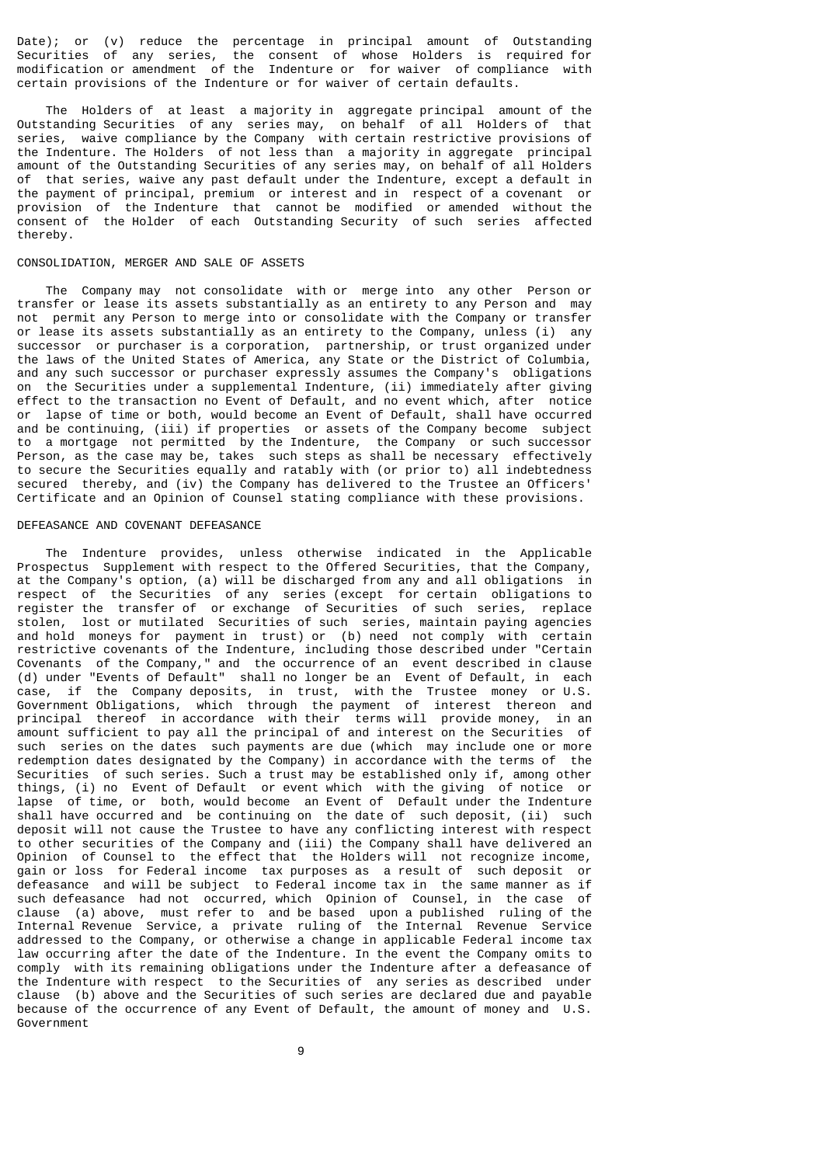Date); or (v) reduce the percentage in principal amount of Outstanding Securities of any series, the consent of whose Holders is required for modification or amendment of the Indenture or for waiver of compliance with certain provisions of the Indenture or for waiver of certain defaults.

 The Holders of at least a majority in aggregate principal amount of the Outstanding Securities of any series may, on behalf of all Holders of that series, waive compliance by the Company with certain restrictive provisions of the Indenture. The Holders of not less than a majority in aggregate principal amount of the Outstanding Securities of any series may, on behalf of all Holders of that series, waive any past default under the Indenture, except a default in the payment of principal, premium or interest and in respect of a covenant or provision of the Indenture that cannot be modified or amended without the consent of the Holder of each Outstanding Security of such series affected thereby.

# CONSOLIDATION, MERGER AND SALE OF ASSETS

 The Company may not consolidate with or merge into any other Person or transfer or lease its assets substantially as an entirety to any Person and may not permit any Person to merge into or consolidate with the Company or transfer or lease its assets substantially as an entirety to the Company, unless (i) any successor or purchaser is a corporation, partnership, or trust organized under the laws of the United States of America, any State or the District of Columbia, and any such successor or purchaser expressly assumes the Company's obligations on the Securities under a supplemental Indenture, (ii) immediately after giving effect to the transaction no Event of Default, and no event which, after notice or lapse of time or both, would become an Event of Default, shall have occurred and be continuing, (iii) if properties or assets of the Company become subject to a mortgage not permitted by the Indenture, the Company or such successor Person, as the case may be, takes such steps as shall be necessary effectively to secure the Securities equally and ratably with (or prior to) all indebtedness secured thereby, and (iv) the Company has delivered to the Trustee an Officers' Certificate and an Opinion of Counsel stating compliance with these provisions.

# DEFEASANCE AND COVENANT DEFEASANCE

 The Indenture provides, unless otherwise indicated in the Applicable Prospectus Supplement with respect to the Offered Securities, that the Company, at the Company's option, (a) will be discharged from any and all obligations in respect of the Securities of any series (except for certain obligations to register the transfer of or exchange of Securities of such series, replace stolen, lost or mutilated Securities of such series, maintain paying agencies and hold moneys for payment in trust) or (b) need not comply with certain restrictive covenants of the Indenture, including those described under "Certain Covenants of the Company," and the occurrence of an event described in clause (d) under "Events of Default" shall no longer be an Event of Default, in each case, if the Company deposits, in trust, with the Trustee money or U.S. Government Obligations, which through the payment of interest thereon and principal thereof in accordance with their terms will provide money, in an amount sufficient to pay all the principal of and interest on the Securities of such series on the dates such payments are due (which may include one or more redemption dates designated by the Company) in accordance with the terms of the Securities of such series. Such a trust may be established only if, among other things, (i) no Event of Default or event which with the giving of notice or lapse of time, or both, would become an Event of Default under the Indenture shall have occurred and be continuing on the date of such deposit, (ii) such deposit will not cause the Trustee to have any conflicting interest with respect to other securities of the Company and (iii) the Company shall have delivered an Opinion of Counsel to the effect that the Holders will not recognize income, gain or loss for Federal income tax purposes as a result of such deposit or defeasance and will be subject to Federal income tax in the same manner as if such defeasance had not occurred, which Opinion of Counsel, in the case of clause (a) above, must refer to and be based upon a published ruling of the Internal Revenue Service, a private ruling of the Internal Revenue Service addressed to the Company, or otherwise a change in applicable Federal income tax law occurring after the date of the Indenture. In the event the Company omits to comply with its remaining obligations under the Indenture after a defeasance of the Indenture with respect to the Securities of any series as described under clause (b) above and the Securities of such series are declared due and payable because of the occurrence of any Event of Default, the amount of money and U.S. Government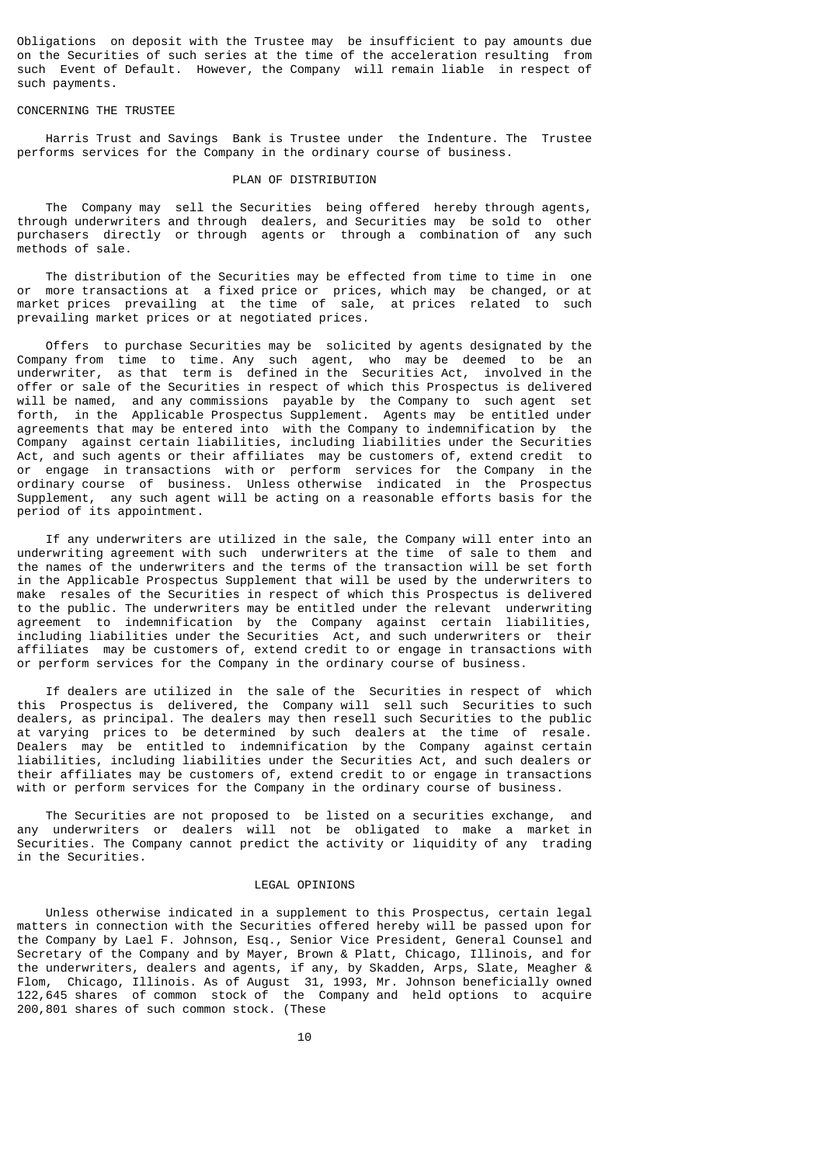Obligations on deposit with the Trustee may be insufficient to pay amounts due on the Securities of such series at the time of the acceleration resulting from such Event of Default. However, the Company will remain liable in respect of such payments.

#### CONCERNING THE TRUSTEE

 Harris Trust and Savings Bank is Trustee under the Indenture. The Trustee performs services for the Company in the ordinary course of business.

# PLAN OF DISTRIBUTION

 The Company may sell the Securities being offered hereby through agents, through underwriters and through dealers, and Securities may be sold to other purchasers directly or through agents or through a combination of any such methods of sale.

 The distribution of the Securities may be effected from time to time in one or more transactions at a fixed price or prices, which may be changed, or at market prices prevailing at the time of sale, at prices related to such prevailing market prices or at negotiated prices.

 Offers to purchase Securities may be solicited by agents designated by the Company from time to time. Any such agent, who may be deemed to be an underwriter, as that term is defined in the Securities Act, involved in the offer or sale of the Securities in respect of which this Prospectus is delivered will be named, and any commissions payable by the Company to such agent set forth, in the Applicable Prospectus Supplement. Agents may be entitled under agreements that may be entered into with the Company to indemnification by the Company against certain liabilities, including liabilities under the Securities Act, and such agents or their affiliates may be customers of, extend credit to or engage in transactions with or perform services for the Company in the ordinary course of business. Unless otherwise indicated in the Prospectus Supplement, any such agent will be acting on a reasonable efforts basis for the period of its appointment.

 If any underwriters are utilized in the sale, the Company will enter into an underwriting agreement with such underwriters at the time of sale to them and the names of the underwriters and the terms of the transaction will be set forth in the Applicable Prospectus Supplement that will be used by the underwriters to make resales of the Securities in respect of which this Prospectus is delivered to the public. The underwriters may be entitled under the relevant underwriting agreement to indemnification by the Company against certain liabilities, including liabilities under the Securities Act, and such underwriters or their affiliates may be customers of, extend credit to or engage in transactions with or perform services for the Company in the ordinary course of business.

 If dealers are utilized in the sale of the Securities in respect of which this Prospectus is delivered, the Company will sell such Securities to such dealers, as principal. The dealers may then resell such Securities to the public at varying prices to be determined by such dealers at the time of resale. Dealers may be entitled to indemnification by the Company against certain liabilities, including liabilities under the Securities Act, and such dealers or their affiliates may be customers of, extend credit to or engage in transactions with or perform services for the Company in the ordinary course of business.

 The Securities are not proposed to be listed on a securities exchange, and any underwriters or dealers will not be obligated to make a market in Securities. The Company cannot predict the activity or liquidity of any trading in the Securities.

## LEGAL OPINIONS

 Unless otherwise indicated in a supplement to this Prospectus, certain legal matters in connection with the Securities offered hereby will be passed upon for the Company by Lael F. Johnson, Esq., Senior Vice President, General Counsel and Secretary of the Company and by Mayer, Brown & Platt, Chicago, Illinois, and for the underwriters, dealers and agents, if any, by Skadden, Arps, Slate, Meagher & Flom, Chicago, Illinois. As of August 31, 1993, Mr. Johnson beneficially owned 122,645 shares of common stock of the Company and held options to acquire 200,801 shares of such common stock. (These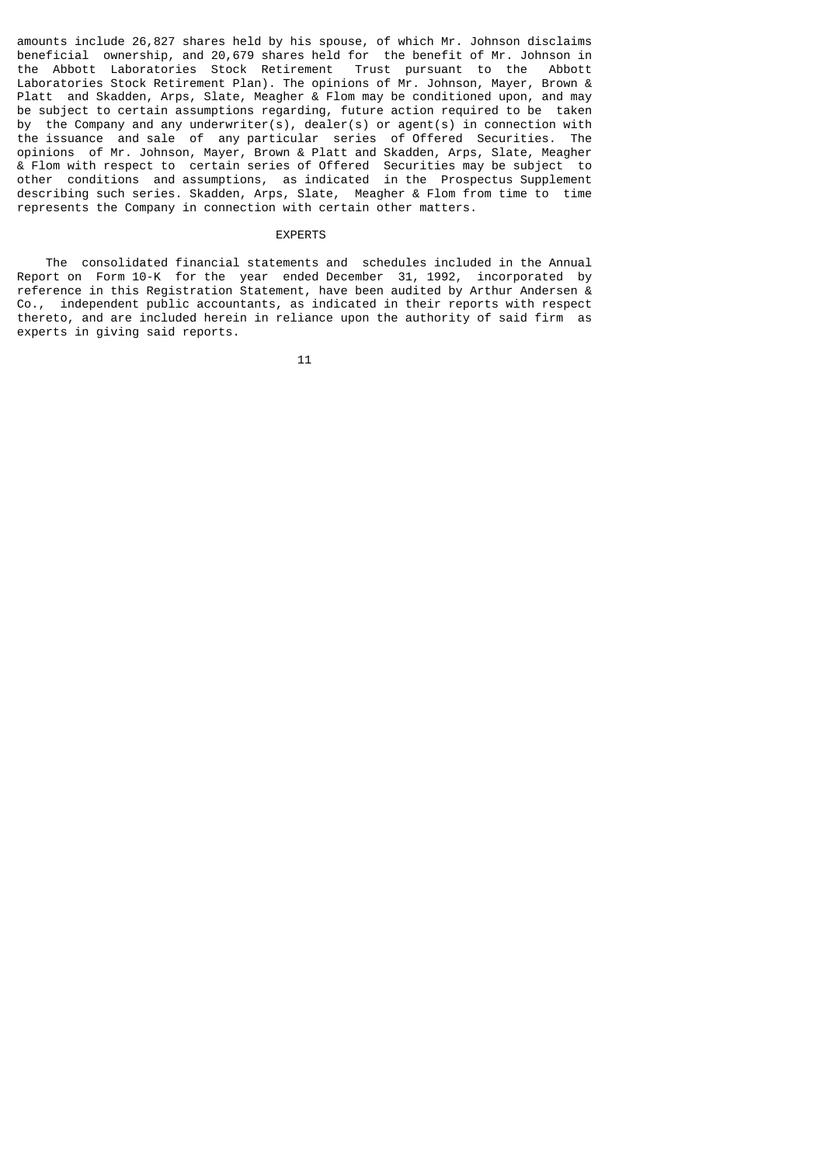amounts include 26,827 shares held by his spouse, of which Mr. Johnson disclaims beneficial ownership, and 20,679 shares held for the benefit of Mr. Johnson in the Abbott Laboratories Stock Retirement Trust pursuant to the Abbott Laboratories Stock Retirement Plan). The opinions of Mr. Johnson, Mayer, Brown & Platt and Skadden, Arps, Slate, Meagher & Flom may be conditioned upon, and may be subject to certain assumptions regarding, future action required to be taken by the Company and any underwriter(s), dealer(s) or agent(s) in connection with the issuance and sale of any particular series of Offered Securities. The opinions of Mr. Johnson, Mayer, Brown & Platt and Skadden, Arps, Slate, Meagher & Flom with respect to certain series of Offered Securities may be subject to other conditions and assumptions, as indicated in the Prospectus Supplement describing such series. Skadden, Arps, Slate, Meagher & Flom from time to time represents the Company in connection with certain other matters.

# EXPERTS

 The consolidated financial statements and schedules included in the Annual Report on Form 10-K for the year ended December 31, 1992, incorporated by reference in this Registration Statement, have been audited by Arthur Andersen & Co., independent public accountants, as indicated in their reports with respect thereto, and are included herein in reliance upon the authority of said firm as experts in giving said reports.

 $11$